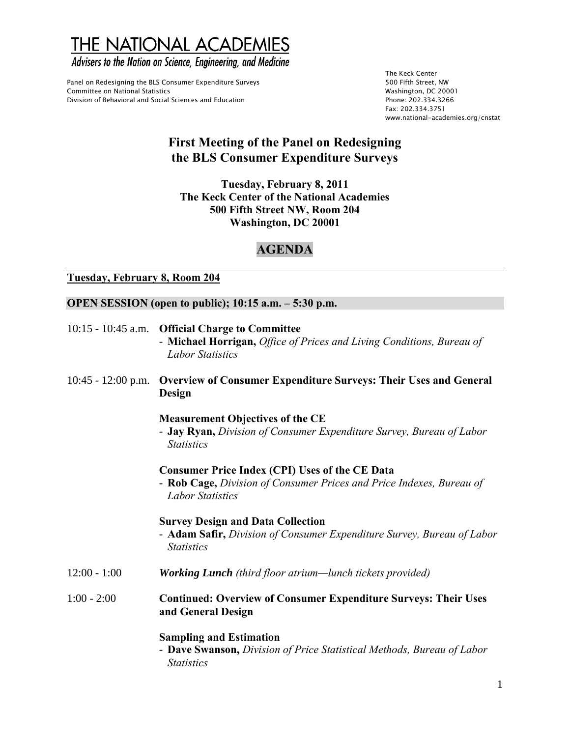THE NATIONAL ACADEMIES

Advisers to the Nation on Science, Engineering, and Medicine

Panel on Redesigning the BLS Consumer Expenditure Surveys Facebook Committee on National Statistics<br>Formittee on National Statistics Committee on National Statistics Division of Behavioral and Social Sciences and Education **Phone: 202.334.3266** 

The Keck Center Fax: 202.334.3751 www.national-academies.org/cnstat

## **First Meeting of the Panel on Redesigning the BLS Consumer Expenditure Surveys**

**Tuesday, February 8, 2011 The Keck Center of the National Academies 500 Fifth Street NW, Room 204 Washington, DC 20001** 

## **AGENDA**

## **Tuesday, February 8, Room 204**

## **OPEN SESSION (open to public); 10:15 a.m. – 5:30 p.m.**

|                      | 10:15 - 10:45 a.m. Official Charge to Committee                                                                                                          |
|----------------------|----------------------------------------------------------------------------------------------------------------------------------------------------------|
|                      | - Michael Horrigan, Office of Prices and Living Conditions, Bureau of<br><b>Labor Statistics</b>                                                         |
| $10:45 - 12:00$ p.m. | <b>Overview of Consumer Expenditure Surveys: Their Uses and General</b><br>Design                                                                        |
|                      | <b>Measurement Objectives of the CE</b><br>- Jay Ryan, Division of Consumer Expenditure Survey, Bureau of Labor<br><b>Statistics</b>                     |
|                      | <b>Consumer Price Index (CPI) Uses of the CE Data</b><br>- Rob Cage, Division of Consumer Prices and Price Indexes, Bureau of<br><b>Labor Statistics</b> |
|                      | <b>Survey Design and Data Collection</b><br>- Adam Safir, Division of Consumer Expenditure Survey, Bureau of Labor<br><b>Statistics</b>                  |
| $12:00 - 1:00$       | <b>Working Lunch</b> (third floor atrium—lunch tickets provided)                                                                                         |
| $1:00 - 2:00$        | <b>Continued: Overview of Consumer Expenditure Surveys: Their Uses</b><br>and General Design                                                             |
|                      | <b>Sampling and Estimation</b><br>- Dave Swanson, Division of Price Statistical Methods, Bureau of Labor<br><b>Statistics</b>                            |